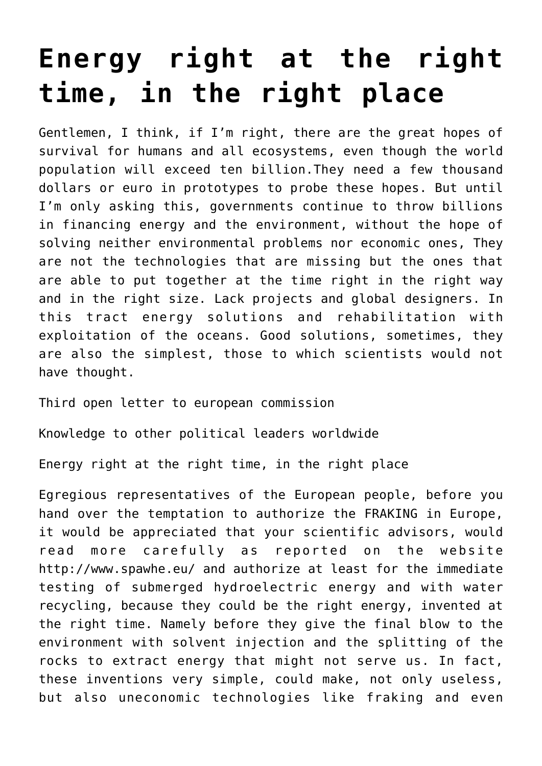## **[Energy right at the right](https://www.spawhe.eu/energy-right-at-the-right-time-in-the-right-place-2/) [time, in the right place](https://www.spawhe.eu/energy-right-at-the-right-time-in-the-right-place-2/)**

Gentlemen, I think, if I'm right, there are the great hopes of survival for humans and all ecosystems, even though the world population will exceed ten billion.They need a few thousand dollars or euro in prototypes to probe these hopes. But until I'm only asking this, governments continue to throw billions in financing energy and the environment, without the hope of solving neither environmental problems nor economic ones, They are not the technologies that are missing but the ones that are able to put together at the time right in the right way and in the right size. Lack projects and global designers. In this tract energy solutions and rehabilitation with exploitation of the oceans. Good solutions, sometimes, they are also the simplest, those to which scientists would not have thought.

Third open letter to european commission

Knowledge to other political leaders worldwide

Energy right at the right time, in the right place

Egregious representatives of the European people, before you hand over the temptation to authorize the FRAKING in Europe, it would be appreciated that your scientific advisors, would read more carefully as reported on the website http://www.spawhe.eu/ and authorize at least for the immediate testing of submerged hydroelectric energy and with water recycling, because they could be the right energy, invented at the right time. Namely before they give the final blow to the environment with solvent injection and the splitting of the rocks to extract energy that might not serve us. In fact, these inventions very simple, could make, not only useless, but also uneconomic technologies like fraking and even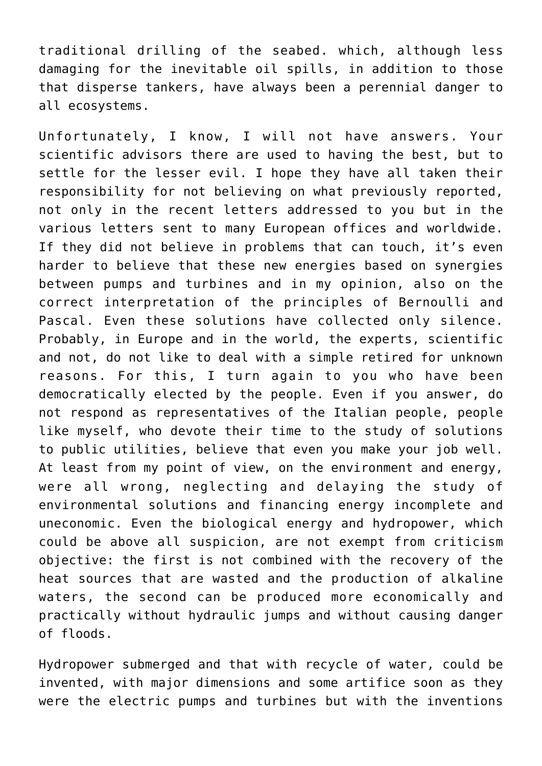traditional drilling of the seabed. which, although less damaging for the inevitable oil spills, in addition to those that disperse tankers, have always been a perennial danger to all ecosystems.

Unfortunately, I know, I will not have answers. Your scientific advisors there are used to having the best, but to settle for the lesser evil. I hope they have all taken their responsibility for not believing on what previously reported, not only in the recent letters addressed to you but in the various letters sent to many European offices and worldwide. If they did not believe in problems that can touch, it's even harder to believe that these new energies based on synergies between pumps and turbines and in my opinion, also on the correct interpretation of the principles of Bernoulli and Pascal. Even these solutions have collected only silence. Probably, in Europe and in the world, the experts, scientific and not, do not like to deal with a simple retired for unknown reasons. For this, I turn again to you who have been democratically elected by the people. Even if you answer, do not respond as representatives of the Italian people, people like myself, who devote their time to the study of solutions to public utilities, believe that even you make your job well. At least from my point of view, on the environment and energy, were all wrong, neglecting and delaying the study of environmental solutions and financing energy incomplete and uneconomic. Even the biological energy and hydropower, which could be above all suspicion, are not exempt from criticism objective: the first is not combined with the recovery of the heat sources that are wasted and the production of alkaline waters, the second can be produced more economically and practically without hydraulic jumps and without causing danger of floods.

Hydropower submerged and that with recycle of water, could be invented, with major dimensions and some artifice soon as they were the electric pumps and turbines but with the inventions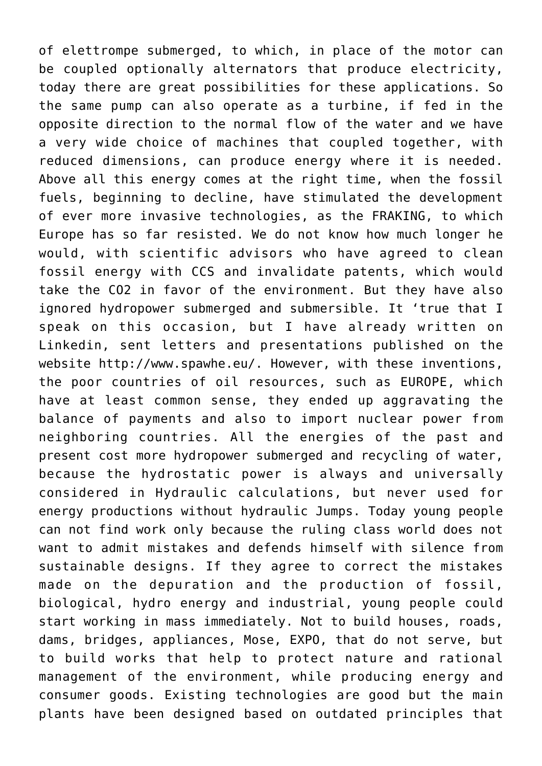of elettrompe submerged, to which, in place of the motor can be coupled optionally alternators that produce electricity, today there are great possibilities for these applications. So the same pump can also operate as a turbine, if fed in the opposite direction to the normal flow of the water and we have a very wide choice of machines that coupled together, with reduced dimensions, can produce energy where it is needed. Above all this energy comes at the right time, when the fossil fuels, beginning to decline, have stimulated the development of ever more invasive technologies, as the FRAKING, to which Europe has so far resisted. We do not know how much longer he would, with scientific advisors who have agreed to clean fossil energy with CCS and invalidate patents, which would take the CO2 in favor of the environment. But they have also ignored hydropower submerged and submersible. It 'true that I speak on this occasion, but I have already written on Linkedin, sent letters and presentations published on the website http://www.spawhe.eu/. However, with these inventions, the poor countries of oil resources, such as EUROPE, which have at least common sense, they ended up aggravating the balance of payments and also to import nuclear power from neighboring countries. All the energies of the past and present cost more hydropower submerged and recycling of water, because the hydrostatic power is always and universally considered in Hydraulic calculations, but never used for energy productions without hydraulic Jumps. Today young people can not find work only because the ruling class world does not want to admit mistakes and defends himself with silence from sustainable designs. If they agree to correct the mistakes made on the depuration and the production of fossil, biological, hydro energy and industrial, young people could start working in mass immediately. Not to build houses, roads, dams, bridges, appliances, Mose, EXPO, that do not serve, but to build works that help to protect nature and rational management of the environment, while producing energy and consumer goods. Existing technologies are good but the main plants have been designed based on outdated principles that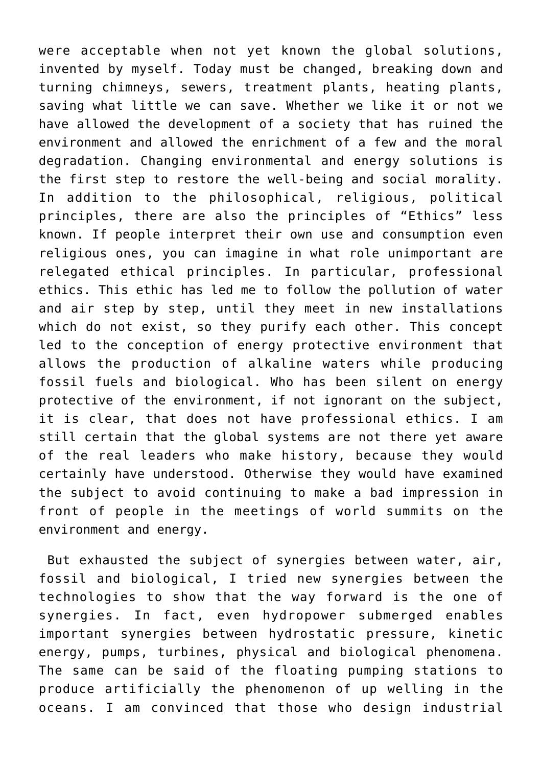were acceptable when not yet known the global solutions, invented by myself. Today must be changed, breaking down and turning chimneys, sewers, treatment plants, heating plants, saving what little we can save. Whether we like it or not we have allowed the development of a society that has ruined the environment and allowed the enrichment of a few and the moral degradation. Changing environmental and energy solutions is the first step to restore the well-being and social morality. In addition to the philosophical, religious, political principles, there are also the principles of "Ethics" less known. If people interpret their own use and consumption even religious ones, you can imagine in what role unimportant are relegated ethical principles. In particular, professional ethics. This ethic has led me to follow the pollution of water and air step by step, until they meet in new installations which do not exist, so they purify each other. This concept led to the conception of energy protective environment that allows the production of alkaline waters while producing fossil fuels and biological. Who has been silent on energy protective of the environment, if not ignorant on the subject, it is clear, that does not have professional ethics. I am still certain that the global systems are not there yet aware of the real leaders who make history, because they would certainly have understood. Otherwise they would have examined the subject to avoid continuing to make a bad impression in front of people in the meetings of world summits on the environment and energy.

 But exhausted the subject of synergies between water, air, fossil and biological, I tried new synergies between the technologies to show that the way forward is the one of synergies. In fact, even hydropower submerged enables important synergies between hydrostatic pressure, kinetic energy, pumps, turbines, physical and biological phenomena. The same can be said of the floating pumping stations to produce artificially the phenomenon of up welling in the oceans. I am convinced that those who design industrial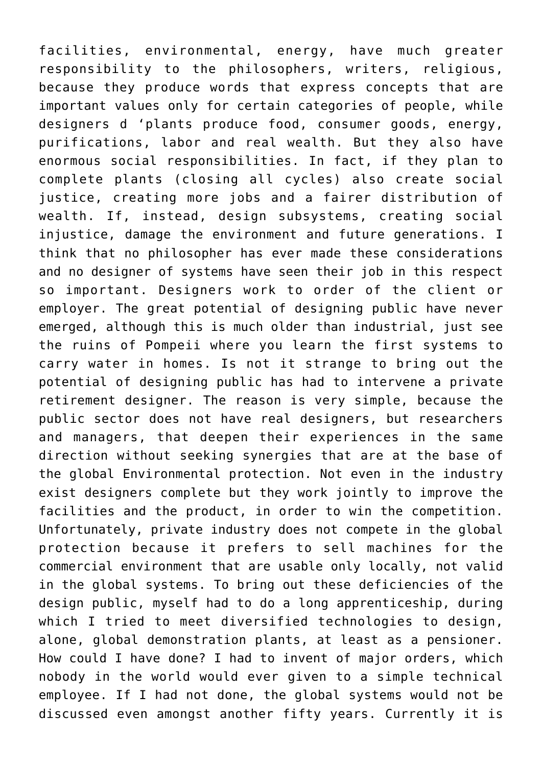facilities, environmental, energy, have much greater responsibility to the philosophers, writers, religious, because they produce words that express concepts that are important values only for certain categories of people, while designers d 'plants produce food, consumer goods, energy, purifications, labor and real wealth. But they also have enormous social responsibilities. In fact, if they plan to complete plants (closing all cycles) also create social justice, creating more jobs and a fairer distribution of wealth. If, instead, design subsystems, creating social injustice, damage the environment and future generations. I think that no philosopher has ever made these considerations and no designer of systems have seen their job in this respect so important. Designers work to order of the client or employer. The great potential of designing public have never emerged, although this is much older than industrial, just see the ruins of Pompeii where you learn the first systems to carry water in homes. Is not it strange to bring out the potential of designing public has had to intervene a private retirement designer. The reason is very simple, because the public sector does not have real designers, but researchers and managers, that deepen their experiences in the same direction without seeking synergies that are at the base of the global Environmental protection. Not even in the industry exist designers complete but they work jointly to improve the facilities and the product, in order to win the competition. Unfortunately, private industry does not compete in the global protection because it prefers to sell machines for the commercial environment that are usable only locally, not valid in the global systems. To bring out these deficiencies of the design public, myself had to do a long apprenticeship, during which I tried to meet diversified technologies to design, alone, global demonstration plants, at least as a pensioner. How could I have done? I had to invent of major orders, which nobody in the world would ever given to a simple technical employee. If I had not done, the global systems would not be discussed even amongst another fifty years. Currently it is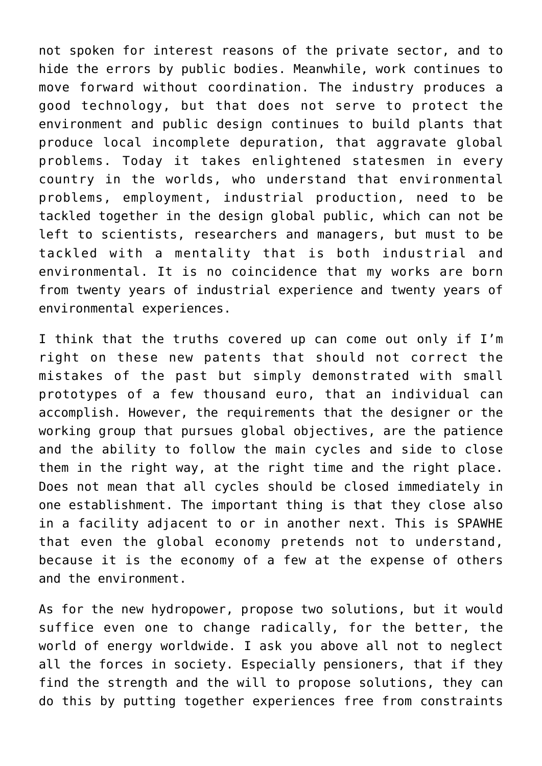not spoken for interest reasons of the private sector, and to hide the errors by public bodies. Meanwhile, work continues to move forward without coordination. The industry produces a good technology, but that does not serve to protect the environment and public design continues to build plants that produce local incomplete depuration, that aggravate global problems. Today it takes enlightened statesmen in every country in the worlds, who understand that environmental problems, employment, industrial production, need to be tackled together in the design global public, which can not be left to scientists, researchers and managers, but must to be tackled with a mentality that is both industrial and environmental. It is no coincidence that my works are born from twenty years of industrial experience and twenty years of environmental experiences.

I think that the truths covered up can come out only if I'm right on these new patents that should not correct the mistakes of the past but simply demonstrated with small prototypes of a few thousand euro, that an individual can accomplish. However, the requirements that the designer or the working group that pursues global objectives, are the patience and the ability to follow the main cycles and side to close them in the right way, at the right time and the right place. Does not mean that all cycles should be closed immediately in one establishment. The important thing is that they close also in a facility adjacent to or in another next. This is SPAWHE that even the global economy pretends not to understand, because it is the economy of a few at the expense of others and the environment.

As for the new hydropower, propose two solutions, but it would suffice even one to change radically, for the better, the world of energy worldwide. I ask you above all not to neglect all the forces in society. Especially pensioners, that if they find the strength and the will to propose solutions, they can do this by putting together experiences free from constraints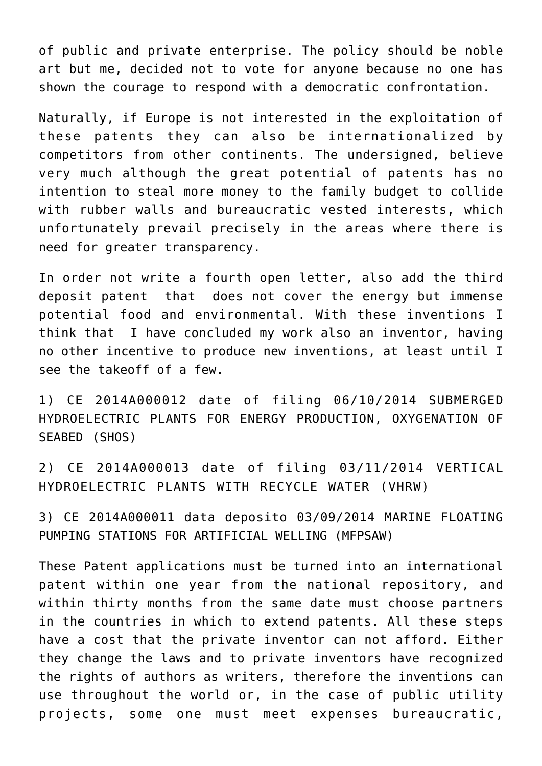of public and private enterprise. The policy should be noble art but me, decided not to vote for anyone because no one has shown the courage to respond with a democratic confrontation.

Naturally, if Europe is not interested in the exploitation of these patents they can also be internationalized by competitors from other continents. The undersigned, believe very much although the great potential of patents has no intention to steal more money to the family budget to collide with rubber walls and bureaucratic vested interests, which unfortunately prevail precisely in the areas where there is need for greater transparency.

In order not write a fourth open letter, also add the third deposit patent that does not cover the energy but immense potential food and environmental. With these inventions I think that I have concluded my work also an inventor, having no other incentive to produce new inventions, at least until I see the takeoff of a few.

1) CE 2014A000012 date of filing 06/10/2014 SUBMERGED HYDROELECTRIC PLANTS FOR ENERGY PRODUCTION, OXYGENATION OF SEABED (SHOS)

2) CE 2014A000013 date of filing 03/11/2014 VERTICAL HYDROELECTRIC PLANTS WITH RECYCLE WATER (VHRW)

3) CE 2014A000011 data deposito 03/09/2014 MARINE FLOATING PUMPING STATIONS FOR ARTIFICIAL WELLING (MFPSAW)

These Patent applications must be turned into an international patent within one year from the national repository, and within thirty months from the same date must choose partners in the countries in which to extend patents. All these steps have a cost that the private inventor can not afford. Either they change the laws and to private inventors have recognized the rights of authors as writers, therefore the inventions can use throughout the world or, in the case of public utility projects, some one must meet expenses bureaucratic,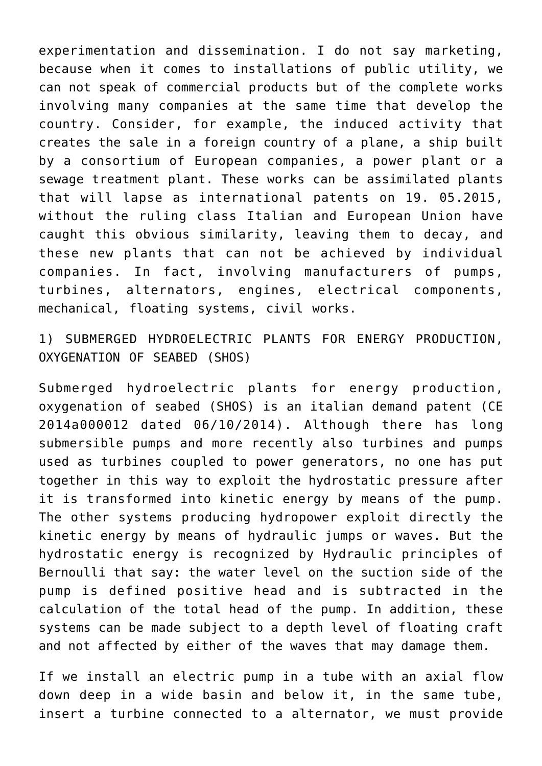experimentation and dissemination. I do not say marketing, because when it comes to installations of public utility, we can not speak of commercial products but of the complete works involving many companies at the same time that develop the country. Consider, for example, the induced activity that creates the sale in a foreign country of a plane, a ship built by a consortium of European companies, a power plant or a sewage treatment plant. These works can be assimilated plants that will lapse as international patents on 19. 05.2015, without the ruling class Italian and European Union have caught this obvious similarity, leaving them to decay, and these new plants that can not be achieved by individual companies. In fact, involving manufacturers of pumps, turbines, alternators, engines, electrical components, mechanical, floating systems, civil works.

1) SUBMERGED HYDROELECTRIC PLANTS FOR ENERGY PRODUCTION, OXYGENATION OF SEABED (SHOS)

Submerged hydroelectric plants for energy production, oxygenation of seabed (SHOS) is an italian demand patent (CE 2014a000012 dated 06/10/2014). Although there has long submersible pumps and more recently also turbines and pumps used as turbines coupled to power generators, no one has put together in this way to exploit the hydrostatic pressure after it is transformed into kinetic energy by means of the pump. The other systems producing hydropower exploit directly the kinetic energy by means of hydraulic jumps or waves. But the hydrostatic energy is recognized by Hydraulic principles of Bernoulli that say: the water level on the suction side of the pump is defined positive head and is subtracted in the calculation of the total head of the pump. In addition, these systems can be made subject to a depth level of floating craft and not affected by either of the waves that may damage them.

If we install an electric pump in a tube with an axial flow down deep in a wide basin and below it, in the same tube, insert a turbine connected to a alternator, we must provide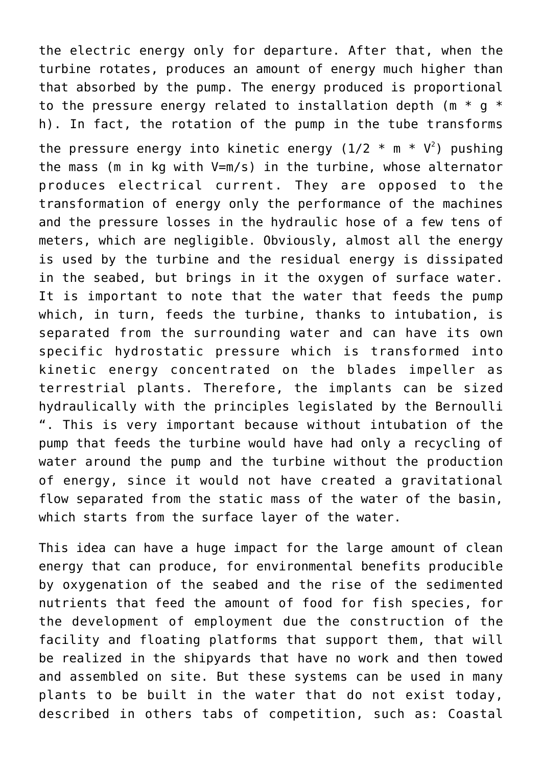the electric energy only for departure. After that, when the turbine rotates, produces an amount of energy much higher than that absorbed by the pump. The energy produced is proportional to the pressure energy related to installation depth ( $m * q *$ h). In fact, the rotation of the pump in the tube transforms

the pressure energy into kinetic energy (1/2  $*$  m  $*$  V<sup>2</sup>) pushing the mass (m in kg with V=m/s) in the turbine, whose alternator produces electrical current. They are opposed to the transformation of energy only the performance of the machines and the pressure losses in the hydraulic hose of a few tens of meters, which are negligible. Obviously, almost all the energy is used by the turbine and the residual energy is dissipated in the seabed, but brings in it the oxygen of surface water. It is important to note that the water that feeds the pump which, in turn, feeds the turbine, thanks to intubation, is separated from the surrounding water and can have its own specific hydrostatic pressure which is transformed into kinetic energy concentrated on the blades impeller as terrestrial plants. Therefore, the implants can be sized hydraulically with the principles legislated by the Bernoulli ". This is very important because without intubation of the pump that feeds the turbine would have had only a recycling of water around the pump and the turbine without the production of energy, since it would not have created a gravitational flow separated from the static mass of the water of the basin, which starts from the surface layer of the water.

This idea can have a huge impact for the large amount of clean energy that can produce, for environmental benefits producible by oxygenation of the seabed and the rise of the sedimented nutrients that feed the amount of food for fish species, for the development of employment due the construction of the facility and floating platforms that support them, that will be realized in the shipyards that have no work and then towed and assembled on site. But these systems can be used in many plants to be built in the water that do not exist today, described in others tabs of competition, such as: Coastal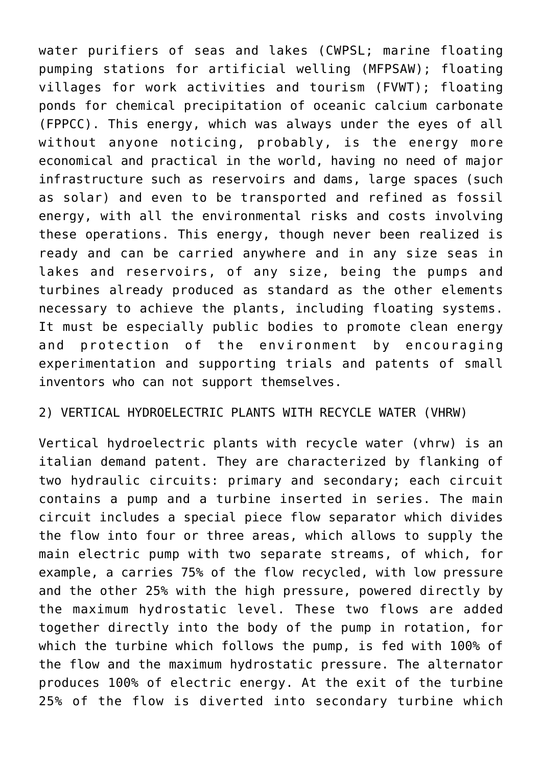water purifiers of seas and lakes (CWPSL; marine floating pumping stations for artificial welling (MFPSAW); floating villages for work activities and tourism (FVWT); floating ponds for chemical precipitation of oceanic calcium carbonate (FPPCC). This energy, which was always under the eyes of all without anyone noticing, probably, is the energy more economical and practical in the world, having no need of major infrastructure such as reservoirs and dams, large spaces (such as solar) and even to be transported and refined as fossil energy, with all the environmental risks and costs involving these operations. This energy, though never been realized is ready and can be carried anywhere and in any size seas in lakes and reservoirs, of any size, being the pumps and turbines already produced as standard as the other elements necessary to achieve the plants, including floating systems. It must be especially public bodies to promote clean energy and protection of the environment by encouraging experimentation and supporting trials and patents of small inventors who can not support themselves.

## 2) VERTICAL HYDROELECTRIC PLANTS WITH RECYCLE WATER (VHRW)

Vertical hydroelectric plants with recycle water (vhrw) is an italian demand patent. They are characterized by flanking of two hydraulic circuits: primary and secondary; each circuit contains a pump and a turbine inserted in series. The main circuit includes a special piece flow separator which divides the flow into four or three areas, which allows to supply the main electric pump with two separate streams, of which, for example, a carries 75% of the flow recycled, with low pressure and the other 25% with the high pressure, powered directly by the maximum hydrostatic level. These two flows are added together directly into the body of the pump in rotation, for which the turbine which follows the pump, is fed with 100% of the flow and the maximum hydrostatic pressure. The alternator produces 100% of electric energy. At the exit of the turbine 25% of the flow is diverted into secondary turbine which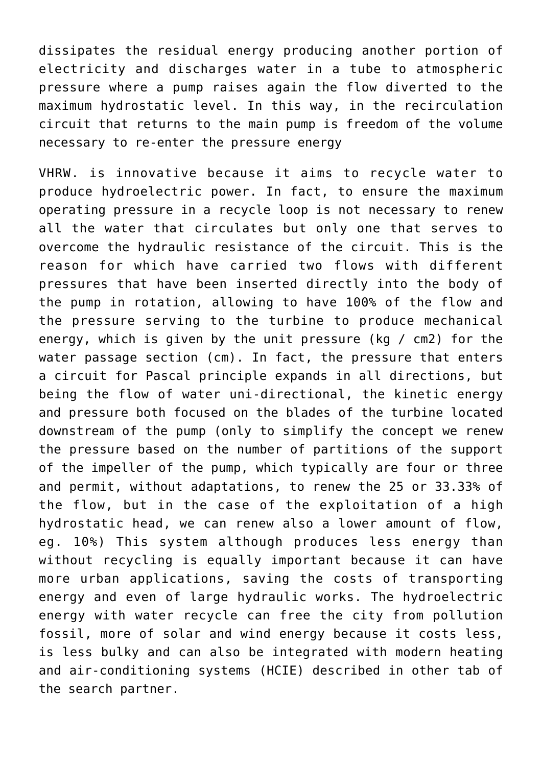dissipates the residual energy producing another portion of electricity and discharges water in a tube to atmospheric pressure where a pump raises again the flow diverted to the maximum hydrostatic level. In this way, in the recirculation circuit that returns to the main pump is freedom of the volume necessary to re-enter the pressure energy

VHRW. is innovative because it aims to recycle water to produce hydroelectric power. In fact, to ensure the maximum operating pressure in a recycle loop is not necessary to renew all the water that circulates but only one that serves to overcome the hydraulic resistance of the circuit. This is the reason for which have carried two flows with different pressures that have been inserted directly into the body of the pump in rotation, allowing to have 100% of the flow and the pressure serving to the turbine to produce mechanical energy, which is given by the unit pressure (kg / cm2) for the water passage section (cm). In fact, the pressure that enters a circuit for Pascal principle expands in all directions, but being the flow of water uni-directional, the kinetic energy and pressure both focused on the blades of the turbine located downstream of the pump (only to simplify the concept we renew the pressure based on the number of partitions of the support of the impeller of the pump, which typically are four or three and permit, without adaptations, to renew the 25 or 33.33% of the flow, but in the case of the exploitation of a high hydrostatic head, we can renew also a lower amount of flow, eg. 10%) This system although produces less energy than without recycling is equally important because it can have more urban applications, saving the costs of transporting energy and even of large hydraulic works. The hydroelectric energy with water recycle can free the city from pollution fossil, more of solar and wind energy because it costs less, is less bulky and can also be integrated with modern heating and air-conditioning systems (HCIE) described in other tab of the search partner.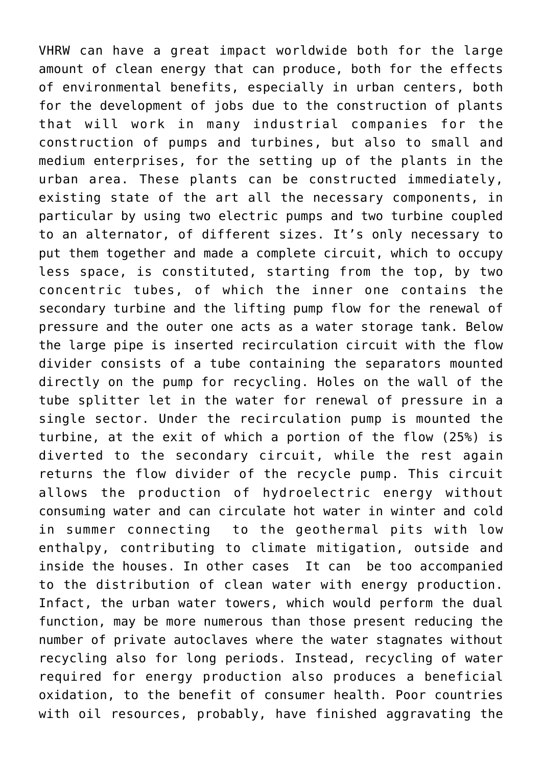VHRW can have a great impact worldwide both for the large amount of clean energy that can produce, both for the effects of environmental benefits, especially in urban centers, both for the development of jobs due to the construction of plants that will work in many industrial companies for the construction of pumps and turbines, but also to small and medium enterprises, for the setting up of the plants in the urban area. These plants can be constructed immediately, existing state of the art all the necessary components, in particular by using two electric pumps and two turbine coupled to an alternator, of different sizes. It's only necessary to put them together and made a complete circuit, which to occupy less space, is constituted, starting from the top, by two concentric tubes, of which the inner one contains the secondary turbine and the lifting pump flow for the renewal of pressure and the outer one acts as a water storage tank. Below the large pipe is inserted recirculation circuit with the flow divider consists of a tube containing the separators mounted directly on the pump for recycling. Holes on the wall of the tube splitter let in the water for renewal of pressure in a single sector. Under the recirculation pump is mounted the turbine, at the exit of which a portion of the flow (25%) is diverted to the secondary circuit, while the rest again returns the flow divider of the recycle pump. This circuit allows the production of hydroelectric energy without consuming water and can circulate hot water in winter and cold in summer connecting to the geothermal pits with low enthalpy, contributing to climate mitigation, outside and inside the houses. In other cases It can be too accompanied to the distribution of clean water with energy production. Infact, the urban water towers, which would perform the dual function, may be more numerous than those present reducing the number of private autoclaves where the water stagnates without recycling also for long periods. Instead, recycling of water required for energy production also produces a beneficial oxidation, to the benefit of consumer health. Poor countries with oil resources, probably, have finished aggravating the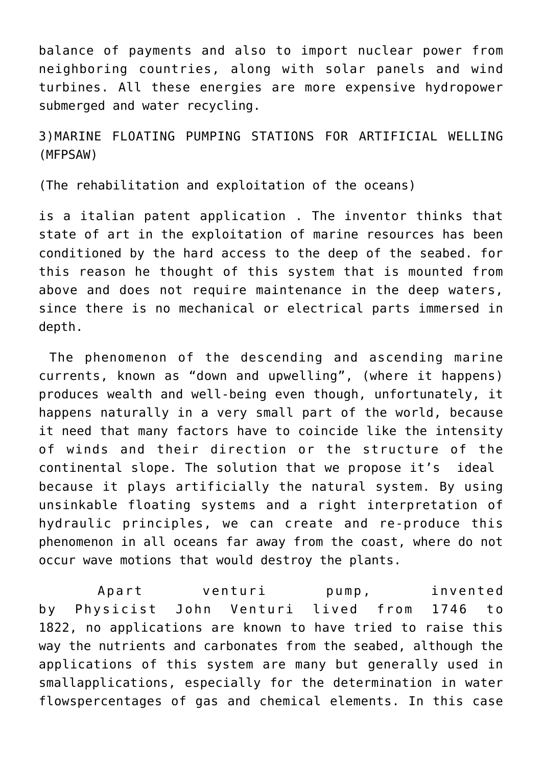balance of payments and also to import nuclear power from neighboring countries, along with solar panels and wind turbines. All these energies are more expensive hydropower submerged and water recycling.

3)MARINE FLOATING PUMPING STATIONS FOR ARTIFICIAL WELLING (MFPSAW)

(The rehabilitation and exploitation of the oceans)

is a italian patent application . The inventor thinks that state of art in the exploitation of marine resources has been conditioned by the hard access to the deep of the seabed. for this reason he thought of this system that is mounted from above and does not require maintenance in the deep waters, since there is no mechanical or electrical parts immersed in depth.

 The phenomenon of the descending and ascending marine currents, known as "down and upwelling", (where it happens) produces wealth and well-being even though, unfortunately, it happens naturally in a very small part of the world, because it need that many factors have to coincide like the intensity of winds and their direction or the structure of the continental slope. The solution that we propose it's ideal because it plays artificially the natural system. By using unsinkable floating systems and a right interpretation of hydraulic principles, we can create and re-produce this phenomenon in all oceans far away from the coast, where do not occur wave motions that would destroy the plants.

 Apart venturi pump, invented by Physicist John Venturi lived from 1746 to 1822, no applications are known to have tried to raise this way the nutrients and carbonates from the seabed, although the applications of this system are many but generally used in smallapplications, especially for the determination in water flowspercentages of gas and chemical elements. In this case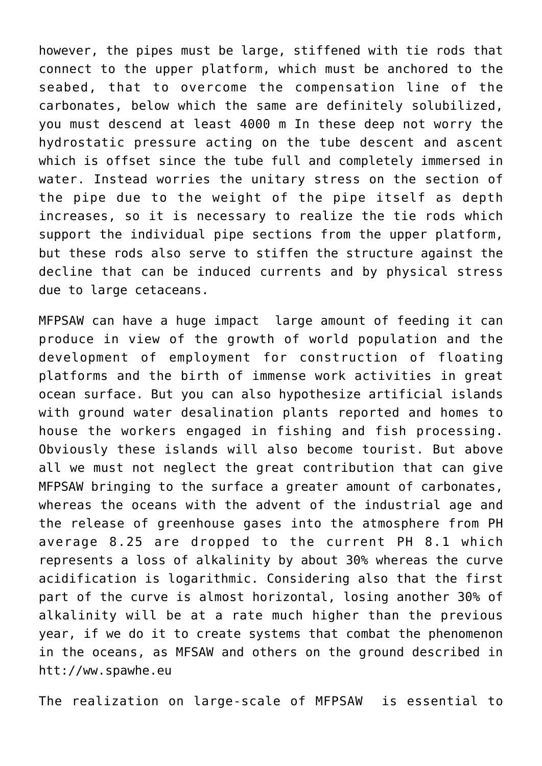however, the pipes must be large, stiffened with tie rods that connect to the upper platform, which must be anchored to the seabed, that to overcome the compensation line of the carbonates, below which the same are definitely solubilized, you must descend at least 4000 m In these deep not worry the hydrostatic pressure acting on the tube descent and ascent which is offset since the tube full and completely immersed in water. Instead worries the unitary stress on the section of the pipe due to the weight of the pipe itself as depth increases, so it is necessary to realize the tie rods which support the individual pipe sections from the upper platform, but these rods also serve to stiffen the structure against the decline that can be induced currents and by physical stress due to large cetaceans.

MFPSAW can have a huge impact large amount of feeding it can produce in view of the growth of world population and the development of employment for construction of floating platforms and the birth of immense work activities in great ocean surface. But you can also hypothesize artificial islands with ground water desalination plants reported and homes to house the workers engaged in fishing and fish processing. Obviously these islands will also become tourist. But above all we must not neglect the great contribution that can give MFPSAW bringing to the surface a greater amount of carbonates, whereas the oceans with the advent of the industrial age and the release of greenhouse gases into the atmosphere from PH average 8.25 are dropped to the current PH 8.1 which represents a loss of alkalinity by about 30% whereas the curve acidification is logarithmic. Considering also that the first part of the curve is almost horizontal, losing another 30% of alkalinity will be at a rate much higher than the previous year, if we do it to create systems that combat the phenomenon in the oceans, as MFSAW and others on the ground described in htt://ww.spawhe.eu

The realization on large-scale of MFPSAW is essential to